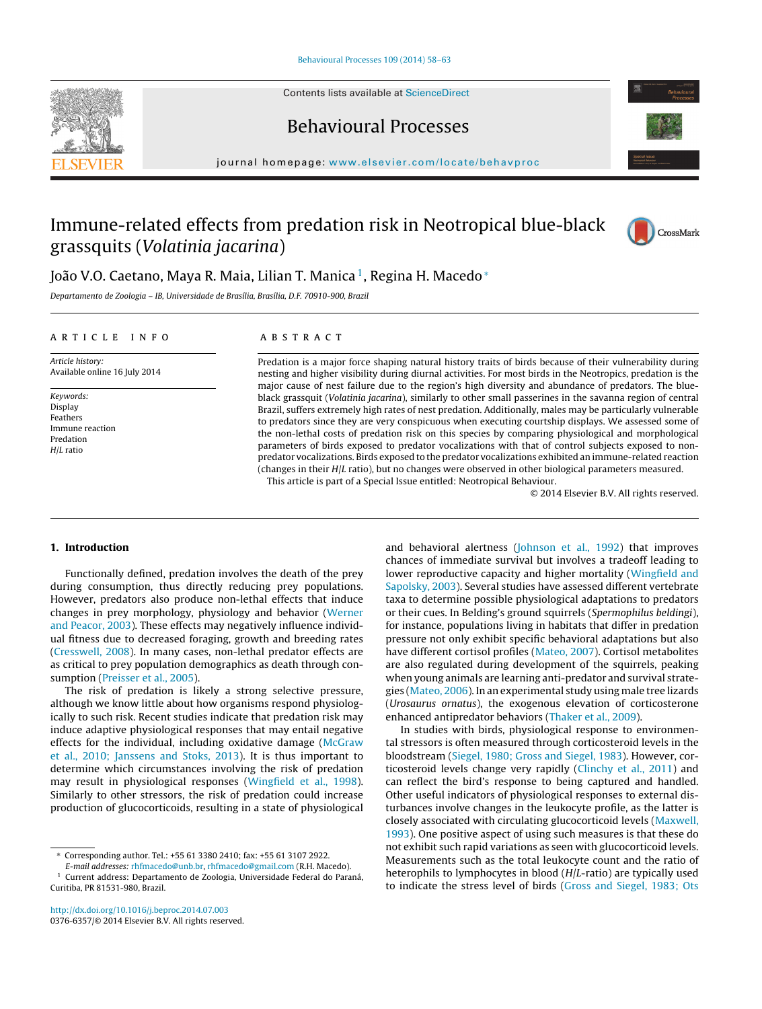Contents lists available at [ScienceDirect](http://www.sciencedirect.com/science/journal/03766357)







# Immune-related effects from predation risk in Neotropical blue-black grassquits (Volatinia jacarina)



## João V.O. Caetano, Maya R. Maia, Lilian T. Manica<sup>1</sup>, Regina H. Macedo<sup>∗</sup>

Departamento de Zoologia – IB, Universidade de Brasília, Brasília, D.F. 70910-900, Brazil

## a r t i c l e i n f o

## A B S T R A C T

Article history: Available online 16 July 2014

Keywords: Display Feathers Immune reaction Predation H<sub>II</sub> ratio

Predation is a major force shaping natural history traits of birds because of their vulnerability during nesting and higher visibility during diurnal activities. For most birds in the Neotropics, predation is the major cause of nest failure due to the region's high diversity and abundance of predators. The blueblack grassquit (Volatinia jacarina), similarly to other small passerines in the savanna region of central Brazil, suffers extremely high rates of nest predation. Additionally, males may be particularly vulnerable to predators since they are very conspicuous when executing courtship displays. We assessed some of the non-lethal costs of predation risk on this species by comparing physiological and morphological parameters of birds exposed to predator vocalizations with that of control subjects exposed to nonpredator vocalizations. Birds exposed to the predator vocalizations exhibited an immune-related reaction (changes in their H/L ratio), but no changes were observed in other biological parameters measured.

This article is part of a Special Issue entitled: Neotropical Behaviour.

© 2014 Elsevier B.V. All rights reserved.

## **1. Introduction**

Functionally defined, predation involves the death of the prey during consumption, thus directly reducing prey populations. However, predators also produce non-lethal effects that induce changes in prey morphology, physiology and behavior [\(Werner](#page-5-0) [and](#page-5-0) [Peacor,](#page-5-0) [2003\).](#page-5-0) These effects may negatively influence individual fitness due to decreased foraging, growth and breeding rates ([Cresswell,](#page-4-0) [2008\).](#page-4-0) In many cases, non-lethal predator effects are as critical to prey population demographics as death through consumption ([Preisser](#page-5-0) et [al.,](#page-5-0) [2005\).](#page-5-0)

The risk of predation is likely a strong selective pressure, although we know little about how organisms respond physiologically to such risk. Recent studies indicate that predation risk may induce adaptive physiological responses that may entail negative effects for the individual, including oxidative damage [\(McGraw](#page-5-0) et [al.,](#page-5-0) [2010;](#page-5-0) [Janssens](#page-5-0) [and](#page-5-0) [Stoks,](#page-5-0) [2013\).](#page-5-0) It is thus important to determine which circumstances involving the risk of predation may result in physiological responses ([Wingfield](#page-5-0) et [al.,](#page-5-0) [1998\).](#page-5-0) Similarly to other stressors, the risk of predation could increase production of glucocorticoids, resulting in a state of physiological

and behavioral alertness [\(Johnson](#page-4-0) et [al.,](#page-4-0) [1992\)](#page-4-0) that improves chances of immediate survival but involves a tradeoff leading to lower reproductive capacity and higher mortality [\(Wingfield](#page-5-0) [and](#page-5-0) [Sapolsky,](#page-5-0) [2003\).](#page-5-0) Several studies have assessed different vertebrate taxa to determine possible physiological adaptations to predators or their cues. In Belding's ground squirrels (Spermophilus beldingi), for instance, populations living in habitats that differ in predation pressure not only exhibit specific behavioral adaptations but also have different cortisol profiles ([Mateo,](#page-5-0) [2007\).](#page-5-0) Cortisol metabolites are also regulated during development of the squirrels, peaking when young animals are learning anti-predator and survival strategies ([Mateo,](#page-5-0) [2006\).](#page-5-0) In an experimental study using male tree lizards (Urosaurus ornatus), the exogenous elevation of corticosterone enhanced antipredator behaviors ([Thaker](#page-5-0) et [al.,](#page-5-0) [2009\).](#page-5-0)

In studies with birds, physiological response to environmental stressors is often measured through corticosteroid levels in the bloodstream ([Siegel,](#page-5-0) [1980;](#page-5-0) [Gross](#page-5-0) [and](#page-5-0) [Siegel,](#page-5-0) [1983\).](#page-5-0) However, corticosteroid levels change very rapidly ([Clinchy](#page-4-0) et [al.,](#page-4-0) [2011\)](#page-4-0) and can reflect the bird's response to being captured and handled. Other useful indicators of physiological responses to external disturbances involve changes in the leukocyte profile, as the latter is closely associated with circulating glucocorticoid levels ([Maxwell,](#page-5-0) [1993\).](#page-5-0) One positive aspect of using such measures is that these do not exhibit such rapid variations as seen with glucocorticoid levels. Measurements such as the total leukocyte count and the ratio of heterophils to lymphocytes in blood (H/L-ratio) are typically used to indicate the stress level of birds [\(Gross](#page-4-0) [and](#page-4-0) [Siegel,](#page-4-0) [1983;](#page-4-0) [Ots](#page-4-0)

<sup>∗</sup> Corresponding author. Tel.: +55 61 3380 2410; fax: +55 61 3107 2922.

E-mail addresses: [rhfmacedo@unb.br,](mailto:rhfmacedo@unb.br) [rhfmacedo@gmail.com](mailto:rhfmacedo@gmail.com) (R.H. Macedo). <sup>1</sup> Current address: Departamento de Zoologia, Universidade Federal do Paraná, Curitiba, PR 81531-980, Brazil.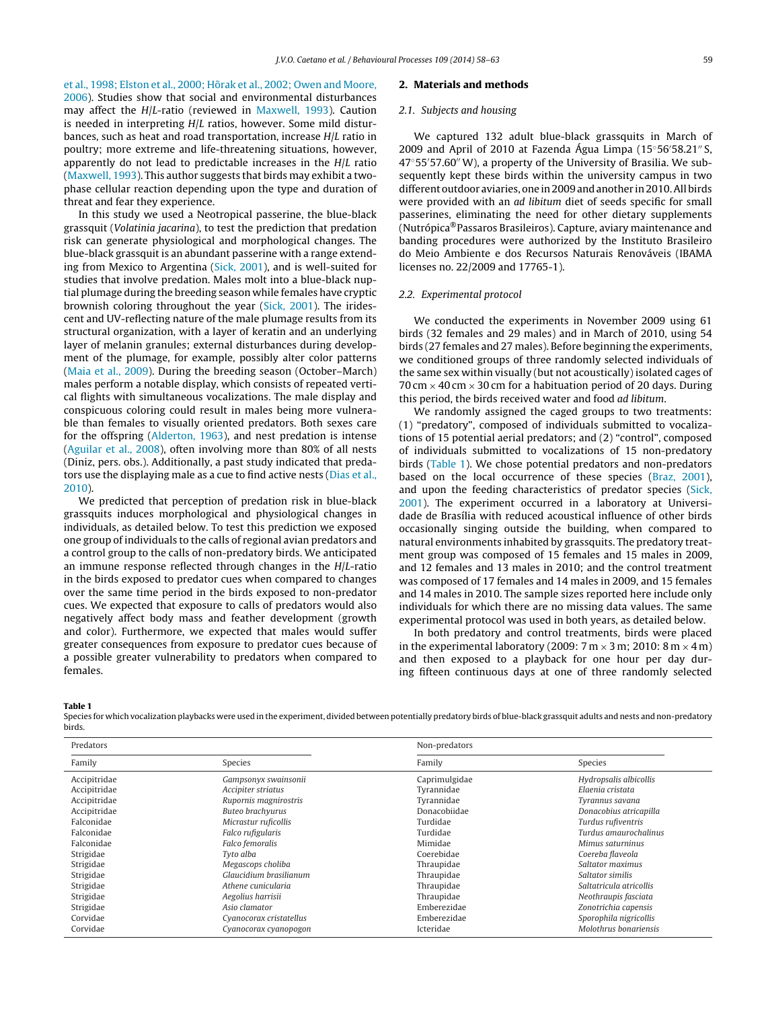et [al.,](#page-4-0) [1998;](#page-4-0) [Elston](#page-4-0) et [al.,](#page-4-0) [2000;](#page-4-0) [Hõrak](#page-4-0) et [al.,](#page-4-0) [2002;](#page-4-0) [Owen](#page-4-0) [and](#page-4-0) [Moore,](#page-4-0) [2006\).](#page-4-0) Studies show that social and environmental disturbances may affect the H/L-ratio (reviewed in [Maxwell,](#page-5-0) [1993\).](#page-5-0) Caution is needed in interpreting H/L ratios, however. Some mild disturbances, such as heat and road transportation, increase H/L ratio in poultry; more extreme and life-threatening situations, however, apparently do not lead to predictable increases in the H/L ratio ([Maxwell,](#page-5-0) [1993\).](#page-5-0) This author suggests that birds may exhibit a twophase cellular reaction depending upon the type and duration of threat and fear they experience.

In this study we used a Neotropical passerine, the blue-black grassquit (Volatinia jacarina), to test the prediction that predation risk can generate physiological and morphological changes. The blue-black grassquit is an abundant passerine with a range extending from Mexico to Argentina ([Sick,](#page-5-0) [2001\),](#page-5-0) and is well-suited for studies that involve predation. Males molt into a blue-black nuptial plumage during the breeding season while females have cryptic brownish coloring throughout the year [\(Sick,](#page-5-0) [2001\).](#page-5-0) The iridescent and UV-reflecting nature of the male plumage results from its structural organization, with a layer of keratin and an underlying layer of melanin granules; external disturbances during development of the plumage, for example, possibly alter color patterns ([Maia](#page-5-0) et [al.,](#page-5-0) [2009\).](#page-5-0) During the breeding season (October–March) males perform a notable display, which consists of repeated vertical flights with simultaneous vocalizations. The male display and conspicuous coloring could result in males being more vulnerable than females to visually oriented predators. Both sexes care for the offspring [\(Alderton,](#page-4-0) [1963\),](#page-4-0) and nest predation is intense ([Aguilar](#page-4-0) et [al.,](#page-4-0) [2008\),](#page-4-0) often involving more than 80% of all nests (Diniz, pers. obs.). Additionally, a past study indicated that predators use the displaying male as a cue to find active nests [\(Dias](#page-4-0) et [al.,](#page-4-0) [2010\).](#page-4-0)

We predicted that perception of predation risk in blue-black grassquits induces morphological and physiological changes in individuals, as detailed below. To test this prediction we exposed one group of individuals to the calls of regional avian predators and a control group to the calls of non-predatory birds. We anticipated an immune response reflected through changes in the H/L-ratio in the birds exposed to predator cues when compared to changes over the same time period in the birds exposed to non-predator cues. We expected that exposure to calls of predators would also negatively affect body mass and feather development (growth and color). Furthermore, we expected that males would suffer greater consequences from exposure to predator cues because of a possible greater vulnerability to predators when compared to females.

#### **2. Materials and methods**

## 2.1. Subjects and housing

We captured 132 adult blue-black grassquits in March of 2009 and April of 2010 at Fazenda Agua Limpa (15°56′58.21″S, 47°55′57.60″ W), a property of the University of Brasilia. We subsequently kept these birds within the university campus in two different outdoor aviaries, one in2009andanother in2010.Allbirds were provided with an ad libitum diet of seeds specific for small passerines, eliminating the need for other dietary supplements (Nutrópica®Passaros Brasileiros). Capture, aviary maintenance and banding procedures were authorized by the Instituto Brasileiro do Meio Ambiente e dos Recursos Naturais Renováveis (IBAMA licenses no. 22/2009 and 17765-1).

## 2.2. Experimental protocol

We conducted the experiments in November 2009 using 61 birds (32 females and 29 males) and in March of 2010, using 54 birds (27 females and 27 males). Before beginning the experiments, we conditioned groups of three randomly selected individuals of the same sex within visually (but not acoustically) isolated cages of 70 cm  $\times$  40 cm  $\times$  30 cm for a habituation period of 20 days. During this period, the birds received water and food ad libitum.

We randomly assigned the caged groups to two treatments: (1) "predatory", composed of individuals submitted to vocalizations of 15 potential aerial predators; and (2) "control", composed of individuals submitted to vocalizations of 15 non-predatory birds (Table 1). We chose potential predators and non-predators based on the local occurrence of these species ([Braz,](#page-4-0) [2001\),](#page-4-0) and upon the feeding characteristics of predator species [\(Sick,](#page-5-0) [2001\).](#page-5-0) The experiment occurred in a laboratory at Universidade de Brasília with reduced acoustical influence of other birds occasionally singing outside the building, when compared to natural environments inhabited by grassquits. The predatory treatment group was composed of 15 females and 15 males in 2009, and 12 females and 13 males in 2010; and the control treatment was composed of 17 females and 14 males in 2009, and 15 females and 14 males in 2010. The sample sizes reported here include only individuals for which there are no missing data values. The same experimental protocol was used in both years, as detailed below.

In both predatory and control treatments, birds were placed in the experimental laboratory (2009:  $7 \text{ m} \times 3 \text{ m}$ ; 2010:  $8 \text{ m} \times 4 \text{ m}$ ) and then exposed to a playback for one hour per day during fifteen continuous days at one of three randomly selected

**Table 1**

Species for which vocalization playbacks were used in the experiment, divided between potentially predatory birds of blue-black grassquit adults and nests and non-predatory birds.

| Predators    |                         | Non-predators |                         |
|--------------|-------------------------|---------------|-------------------------|
| Family       | Species                 | Family        | Species                 |
| Accipitridae | Gampsonyx swainsonii    | Caprimulgidae | Hydropsalis albicollis  |
| Accipitridae | Accipiter striatus      | Tyrannidae    | Elaenia cristata        |
| Accipitridae | Rupornis magnirostris   | Tyrannidae    | Tyrannus savana         |
| Accipitridae | Buteo brachvurus        | Donacobiidae  | Donacobius atricapilla  |
| Falconidae   | Micrastur ruficollis    | Turdidae      | Turdus rufiventris      |
| Falconidae   | Falco rufigularis       | Turdidae      | Turdus amaurochalinus   |
| Falconidae   | Falco femoralis         | Mimidae       | Mimus saturninus        |
| Strigidae    | Tyto alba               | Coerebidae    | Coereba flaveola        |
| Strigidae    | Megascops choliba       | Thraupidae    | Saltator maximus        |
| Strigidae    | Glaucidium brasilianum  | Thraupidae    | Saltator similis        |
| Strigidae    | Athene cunicularia      | Thraupidae    | Saltatricula atricollis |
| Strigidae    | Aegolius harrisii       | Thraupidae    | Neothraupis fasciata    |
| Strigidae    | Asio clamator           | Emberezidae   | Zonotrichia capensis    |
| Corvidae     | Cyanocorax cristatellus | Emberezidae   | Sporophila nigricollis  |
| Corvidae     | Cyanocorax cyanopogon   | Icteridae     | Molothrus bonariensis   |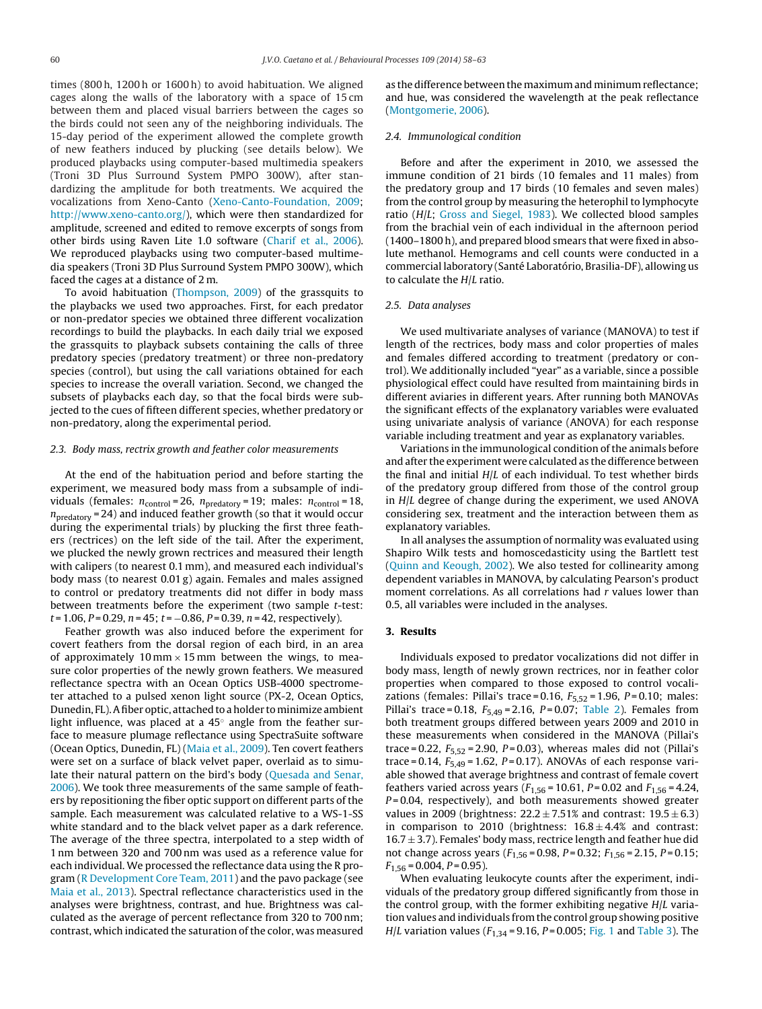times (800 h, 1200 h or 1600 h) to avoid habituation. We aligned cages along the walls of the laboratory with a space of 15 cm between them and placed visual barriers between the cages so the birds could not seen any of the neighboring individuals. The 15-day period of the experiment allowed the complete growth of new feathers induced by plucking (see details below). We produced playbacks using computer-based multimedia speakers (Troni 3D Plus Surround System PMPO 300W), after standardizing the amplitude for both treatments. We acquired the vocalizations from Xeno-Canto ([Xeno-Canto-Foundation,](#page-5-0) [2009;](#page-5-0) [http://www.xeno-canto.org/\)](http://www.xeno-canto.org/), which were then standardized for amplitude, screened and edited to remove excerpts of songs from other birds using Raven Lite 1.0 software [\(Charif](#page-4-0) et [al.,](#page-4-0) [2006\).](#page-4-0) We reproduced playbacks using two computer-based multimedia speakers (Troni 3D Plus Surround System PMPO 300W), which faced the cages at a distance of 2 m.

To avoid habituation [\(Thompson,](#page-5-0) [2009\)](#page-5-0) of the grassquits to the playbacks we used two approaches. First, for each predator or non-predator species we obtained three different vocalization recordings to build the playbacks. In each daily trial we exposed the grassquits to playback subsets containing the calls of three predatory species (predatory treatment) or three non-predatory species (control), but using the call variations obtained for each species to increase the overall variation. Second, we changed the subsets of playbacks each day, so that the focal birds were subjected to the cues of fifteen different species, whether predatory or non-predatory, along the experimental period.

## 2.3. Body mass, rectrix growth and feather color measurements

At the end of the habituation period and before starting the experiment, we measured body mass from a subsample of individuals (females:  $n_{control} = 26$ ,  $n_{predatory} = 19$ ; males:  $n_{control} = 18$ ,  $n<sub>predictory</sub> = 24$ ) and induced feather growth (so that it would occur during the experimental trials) by plucking the first three feathers (rectrices) on the left side of the tail. After the experiment, we plucked the newly grown rectrices and measured their length with calipers (to nearest 0.1 mm), and measured each individual's body mass (to nearest 0.01 g) again. Females and males assigned to control or predatory treatments did not differ in body mass between treatments before the experiment (two sample t-test:  $t = 1.06$ ,  $P = 0.29$ ,  $n = 45$ ;  $t = -0.86$ ,  $P = 0.39$ ,  $n = 42$ , respectively).

Feather growth was also induced before the experiment for covert feathers from the dorsal region of each bird, in an area of approximately 10 mm  $\times$  15 mm between the wings, to measure color properties of the newly grown feathers. We measured reflectance spectra with an Ocean Optics USB-4000 spectrometer attached to a pulsed xenon light source (PX-2, Ocean Optics, Dunedin, FL). A fiber optic, attached to a holder to minimize ambient light influence, was placed at a 45◦ angle from the feather surface to measure plumage reflectance using SpectraSuite software (Ocean Optics, Dunedin, FL) ([Maia](#page-5-0) et [al.,](#page-5-0) [2009\).](#page-5-0) Ten covert feathers were set on a surface of black velvet paper, overlaid as to simulate their natural pattern on the bird's body ([Quesada](#page-5-0) [and](#page-5-0) [Senar,](#page-5-0) [2006\).](#page-5-0) We took three measurements of the same sample of feathers by repositioning the fiber optic support on different parts of the sample. Each measurement was calculated relative to a WS-1-SS white standard and to the black velvet paper as a dark reference. The average of the three spectra, interpolated to a step width of 1 nm between 320 and 700 nm was used as a reference value for each individual. We processed the reflectance data using the R program ([R](#page-5-0) [Development](#page-5-0) [Core](#page-5-0) [Team,](#page-5-0) [2011\)](#page-5-0) and the pavo package (see [Maia](#page-5-0) et [al.,](#page-5-0) [2013\).](#page-5-0) Spectral reflectance characteristics used in the analyses were brightness, contrast, and hue. Brightness was calculated as the average of percent reflectance from 320 to 700 nm; contrast, which indicated the saturation of the color, was measured

as the difference between the maximum and minimum reflectance; and hue, was considered the wavelength at the peak reflectance [\(Montgomerie,](#page-5-0) [2006\).](#page-5-0)

## 2.4. Immunological condition

Before and after the experiment in 2010, we assessed the immune condition of 21 birds (10 females and 11 males) from the predatory group and 17 birds (10 females and seven males) from the control group by measuring the heterophil to lymphocyte ratio (H/L; [Gross](#page-4-0) [and](#page-4-0) [Siegel,](#page-4-0) [1983\).](#page-4-0) We collected blood samples from the brachial vein of each individual in the afternoon period (1400–1800 h), and prepared blood smears that were fixed in absolute methanol. Hemograms and cell counts were conducted in a commercial laboratory (Santé Laboratório, Brasilia-DF), allowing us to calculate the H/L ratio.

#### 2.5. Data analyses

We used multivariate analyses of variance (MANOVA) to test if length of the rectrices, body mass and color properties of males and females differed according to treatment (predatory or control). We additionally included "year" as a variable, since a possible physiological effect could have resulted from maintaining birds in different aviaries in different years. After running both MANOVAs the significant effects of the explanatory variables were evaluated using univariate analysis of variance (ANOVA) for each response variable including treatment and year as explanatory variables.

Variations in the immunological condition of the animals before and after the experiment were calculated as the difference between the final and initial H/L of each individual. To test whether birds of the predatory group differed from those of the control group in H/L degree of change during the experiment, we used ANOVA considering sex, treatment and the interaction between them as explanatory variables.

In all analyses the assumption of normality was evaluated using Shapiro Wilk tests and homoscedasticity using the Bartlett test [\(Quinn](#page-5-0) [and](#page-5-0) [Keough,](#page-5-0) [2002\).](#page-5-0) We also tested for collinearity among dependent variables in MANOVA, by calculating Pearson's product moment correlations. As all correlations had  $r$  values lower than 0.5, all variables were included in the analyses.

## **3. Results**

Individuals exposed to predator vocalizations did not differ in body mass, length of newly grown rectrices, nor in feather color properties when compared to those exposed to control vocalizations (females: Pillai's trace = 0.16,  $F_{5,52}$  = 1.96,  $P = 0.10$ ; males: Pillai's trace = 0.18,  $F_{5,49}$  = 2.16,  $P = 0.07$ ; [Table](#page-3-0) 2). Females from both treatment groups differed between years 2009 and 2010 in these measurements when considered in the MANOVA (Pillai's trace = 0.22,  $F_{5,52}$  = 2.90,  $P = 0.03$ ), whereas males did not (Pillai's trace = 0.14,  $F_{5,49}$  = 1.62, P = 0.17). ANOVAs of each response variable showed that average brightness and contrast of female covert feathers varied across years ( $F_{1,56}$  = 10.61, P = 0.02 and  $F_{1,56}$  = 4.24,  $P = 0.04$ , respectively), and both measurements showed greater values in 2009 (brightness:  $22.2 \pm 7.51\%$  and contrast:  $19.5 \pm 6.3$ ) in comparison to 2010 (brightness:  $16.8 \pm 4.4$ % and contrast:  $16.7 \pm 3.7$ ). Females' body mass, rectrice length and feather hue did not change across years ( $F_{1,56}$  = 0.98, P = 0.32;  $F_{1,56}$  = 2.15, P = 0.15;  $F_{1,56} = 0.004$ ,  $P = 0.95$ ).

When evaluating leukocyte counts after the experiment, individuals of the predatory group differed significantly from those in the control group, with the former exhibiting negative  $H/L$  variation values and individuals from the control group showing positive *H*/*L* variation values ( $F_{1,34}$  = 9.16, *P* = 0.005; [Fig.](#page-3-0) 1 and [Table](#page-3-0) 3). The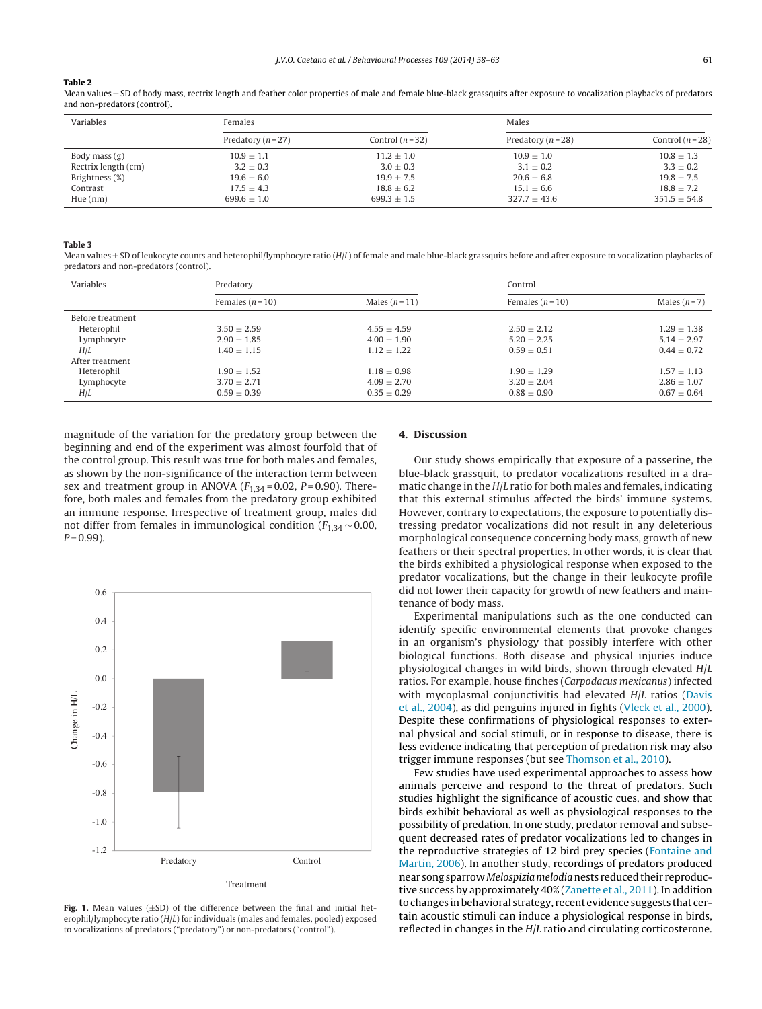#### <span id="page-3-0"></span>**Table 2**

Mean values ± SD of body mass, rectrix length and feather color properties of male and female blue-black grassquits after exposure to vocalization playbacks of predators and non-predators (control).

| Variables           | Females            |                  | Males                  |                  |
|---------------------|--------------------|------------------|------------------------|------------------|
|                     | Predatory $(n=27)$ | Control $(n=32)$ | Predatory ( $n = 28$ ) | Control $(n=28)$ |
| Body mass $(g)$     | $10.9 \pm 1.1$     | $11.2 \pm 1.0$   | $10.9 + 1.0$           | $10.8 + 1.3$     |
| Rectrix length (cm) | $3.2 \pm 0.3$      | $3.0 \pm 0.3$    | $3.1 \pm 0.2$          | $3.3 \pm 0.2$    |
| Brightness (%)      | $19.6 \pm 6.0$     | $19.9 \pm 7.5$   | $20.6 \pm 6.8$         | $19.8 \pm 7.5$   |
| Contrast            | $17.5 \pm 4.3$     | $18.8 \pm 6.2$   | $15.1 \pm 6.6$         | $18.8 + 7.2$     |
| Hue(nm)             | $699.6 + 1.0$      | $699.3 \pm 1.5$  | $327.7 + 43.6$         | $351.5 + 54.8$   |

#### **Table 3**

Mean values  $\pm$  SD of leukocyte counts and heterophil/lymphocyte ratio (H/L) of female and male blue-black grassquits before and after exposure to vocalization playbacks of predators and non-predators (control).

| Variables        | Predatory        |                 |                  | Control         |  |
|------------------|------------------|-----------------|------------------|-----------------|--|
|                  | Females $(n=10)$ | Males $(n=11)$  | Females $(n=10)$ | Males $(n=7)$   |  |
| Before treatment |                  |                 |                  |                 |  |
| Heterophil       | $3.50 + 2.59$    | $4.55 + 4.59$   | $2.50 + 2.12$    | $1.29 + 1.38$   |  |
| Lymphocyte       | $2.90 + 1.85$    | $4.00 + 1.90$   | $5.20 + 2.25$    | $5.14 + 2.97$   |  |
| H/L              | $1.40 + 1.15$    | $1.12 + 1.22$   | $0.59 + 0.51$    | $0.44 + 0.72$   |  |
| After treatment  |                  |                 |                  |                 |  |
| Heterophil       | $1.90 \pm 1.52$  | $1.18 + 0.98$   | $1.90 + 1.29$    | $1.57 + 1.13$   |  |
| Lymphocyte       | $3.70 \pm 2.71$  | $4.09 \pm 2.70$ | $3.20 \pm 2.04$  | $2.86 \pm 1.07$ |  |
| H/L              | $0.59 \pm 0.39$  | $0.35 \pm 0.29$ | $0.88 \pm 0.90$  | $0.67 \pm 0.64$ |  |

magnitude of the variation for the predatory group between the beginning and end of the experiment was almost fourfold that of the control group. This result was true for both males and females, as shown by the non-significance of the interaction term between sex and treatment group in ANOVA ( $F_{1,34}$  = 0.02, P = 0.90). Therefore, both males and females from the predatory group exhibited an immune response. Irrespective of treatment group, males did not differ from females in immunological condition ( $F_{1,34}$  ~ 0.00,  $P = 0.99$ ).



**Fig. 1.** Mean values  $(\pm SD)$  of the difference between the final and initial heterophil/lymphocyte ratio  $(H/L)$  for individuals (males and females, pooled) exposed to vocalizations of predators ("predatory") or non-predators ("control").

## **4. Discussion**

Our study shows empirically that exposure of a passerine, the blue-black grassquit, to predator vocalizations resulted in a dramatic change in the H/L ratio for both males and females, indicating that this external stimulus affected the birds' immune systems. However, contrary to expectations, the exposure to potentially distressing predator vocalizations did not result in any deleterious morphological consequence concerning body mass, growth of new feathers or their spectral properties. In other words, it is clear that the birds exhibited a physiological response when exposed to the predator vocalizations, but the change in their leukocyte profile did not lower their capacity for growth of new feathers and maintenance of body mass.

Experimental manipulations such as the one conducted can identify specific environmental elements that provoke changes in an organism's physiology that possibly interfere with other biological functions. Both disease and physical injuries induce physiological changes in wild birds, shown through elevated H/L ratios. For example, house finches (Carpodacus mexicanus) infected with mycoplasmal conjunctivitis had elevated H/L ratios ([Davis](#page-4-0) et [al.,](#page-4-0) [2004\),](#page-4-0) as did penguins injured in fights ([Vleck](#page-5-0) et [al.,](#page-5-0) [2000\).](#page-5-0) Despite these confirmations of physiological responses to external physical and social stimuli, or in response to disease, there is less evidence indicating that perception of predation risk may also trigger immune responses (but see [Thomson](#page-5-0) et [al.,](#page-5-0) [2010\).](#page-5-0)

Few studies have used experimental approaches to assess how animals perceive and respond to the threat of predators. Such studies highlight the significance of acoustic cues, and show that birds exhibit behavioral as well as physiological responses to the possibility of predation. In one study, predator removal and subsequent decreased rates of predator vocalizations led to changes in the reproductive strategies of 12 bird prey species ([Fontaine](#page-4-0) [and](#page-4-0) [Martin,](#page-4-0) [2006\).](#page-4-0) In another study, recordings of predators produced near song sparrow Melospizia melodia nests reduced their reproductive success by approximately 40% ([Zanette](#page-5-0) et [al.,](#page-5-0) [2011\).](#page-5-0) In addition to changes inbehavioral strategy, recent evidence suggests that certain acoustic stimuli can induce a physiological response in birds, reflected in changes in the H/L ratio and circulating corticosterone.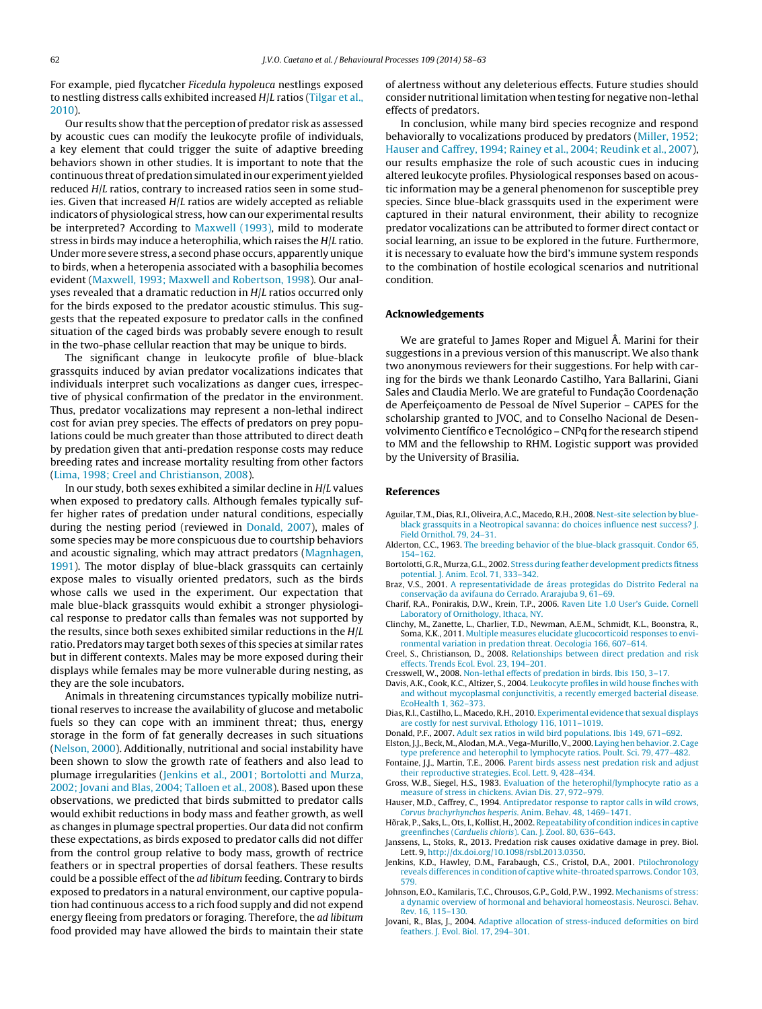<span id="page-4-0"></span>For example, pied flycatcher Ficedula hypoleuca nestlings exposed to nestling distress calls exhibited increased H/L ratios [\(Tilgar](#page-5-0) et [al.,](#page-5-0) [2010\).](#page-5-0)

Our results show that the perception of predator risk as assessed by acoustic cues can modify the leukocyte profile of individuals, a key element that could trigger the suite of adaptive breeding behaviors shown in other studies. It is important to note that the continuous threat of predation simulated in our experiment yielded reduced H/L ratios, contrary to increased ratios seen in some studies. Given that increased H/L ratios are widely accepted as reliable indicators of physiological stress, how can our experimental results be interpreted? According to [Maxwell](#page-5-0) [\(1993\),](#page-5-0) mild to moderate stress in birds may induce a heterophilia, which raises the H/L ratio. Undermore severe stress, a second phase occurs, apparentlyunique to birds, when a heteropenia associated with a basophilia becomes evident ([Maxwell,](#page-5-0) [1993;](#page-5-0) [Maxwell](#page-5-0) [and](#page-5-0) [Robertson,](#page-5-0) [1998\).](#page-5-0) Our analyses revealed that a dramatic reduction in H/L ratios occurred only for the birds exposed to the predator acoustic stimulus. This suggests that the repeated exposure to predator calls in the confined situation of the caged birds was probably severe enough to result in the two-phase cellular reaction that may be unique to birds.

The significant change in leukocyte profile of blue-black grassquits induced by avian predator vocalizations indicates that individuals interpret such vocalizations as danger cues, irrespective of physical confirmation of the predator in the environment. Thus, predator vocalizations may represent a non-lethal indirect cost for avian prey species. The effects of predators on prey populations could be much greater than those attributed to direct death by predation given that anti-predation response costs may reduce breeding rates and increase mortality resulting from other factors ([Lima,](#page-5-0) [1998;](#page-5-0) [Creel](#page-5-0) [and](#page-5-0) [Christianson,](#page-5-0) [2008\).](#page-5-0)

In our study, both sexes exhibited a similar decline in H/L values when exposed to predatory calls. Although females typically suffer higher rates of predation under natural conditions, especially during the nesting period (reviewed in Donald, 2007), males of some species may be more conspicuous due to courtship behaviors and acoustic signaling, which may attract predators ([Magnhagen,](#page-5-0) [1991\).](#page-5-0) The motor display of blue-black grassquits can certainly expose males to visually oriented predators, such as the birds whose calls we used in the experiment. Our expectation that male blue-black grassquits would exhibit a stronger physiological response to predator calls than females was not supported by the results, since both sexes exhibited similar reductions in the H/L ratio. Predators may target both sexes of this species at similar rates but in different contexts. Males may be more exposed during their displays while females may be more vulnerable during nesting, as they are the sole incubators.

Animals in threatening circumstances typically mobilize nutritional reserves to increase the availability of glucose and metabolic fuels so they can cope with an imminent threat; thus, energy storage in the form of fat generally decreases in such situations ([Nelson,](#page-5-0) [2000\).](#page-5-0) Additionally, nutritional and social instability have been shown to slow the growth rate of feathers and also lead to plumage irregularities (Jenkins et al., 2001; Bortolotti and Murza, 2002; Jovani and Blas, 2004; Talloen et al., 2008). Based upon these observations, we predicted that birds submitted to predator calls would exhibit reductions in body mass and feather growth, as well as changes in plumage spectral properties. Our data did not confirm these expectations, as birds exposed to predator calls did not differ from the control group relative to body mass, growth of rectrice feathers or in spectral properties of dorsal feathers. These results could be a possible effect of the ad libitum feeding. Contrary to birds exposed to predators in a natural environment, our captive population had continuous access to a rich food supply and did not expend energy fleeing from predators or foraging. Therefore, the ad libitum food provided may have allowed the birds to maintain their state

of alertness without any deleterious effects. Future studies should consider nutritional limitation when testing for negative non-lethal effects of predators.

In conclusion, while many bird species recognize and respond behaviorally to vocalizations produced by predators ([Miller,](#page-5-0) [1952;](#page-5-0) [Hauser](#page-5-0) [and](#page-5-0) [Caffrey,](#page-5-0) [1994;](#page-5-0) [Rainey](#page-5-0) et [al.,](#page-5-0) [2004;](#page-5-0) [Reudink](#page-5-0) et [al.,](#page-5-0) [2007\),](#page-5-0) our results emphasize the role of such acoustic cues in inducing altered leukocyte profiles. Physiological responses based on acoustic information may be a general phenomenon for susceptible prey species. Since blue-black grassquits used in the experiment were captured in their natural environment, their ability to recognize predator vocalizations can be attributed to former direct contact or social learning, an issue to be explored in the future. Furthermore, it is necessary to evaluate how the bird's immune system responds to the combination of hostile ecological scenarios and nutritional condition.

## **Acknowledgements**

We are grateful to James Roper and Miguel Â. Marini for their suggestions in a previous version of this manuscript. We also thank two anonymous reviewers for their suggestions. For help with caring for the birds we thank Leonardo Castilho, Yara Ballarini, Giani Sales and Claudia Merlo. We are grateful to Fundação Coordenação de Aperfeicoamento de Pessoal de Nível Superior - CAPES for the scholarship granted to JVOC, and to Conselho Nacional de Desenvolvimento Científico e Tecnológico – CNPq for the research stipend to MM and the fellowship to RHM. Logistic support was provided by the University of Brasilia.

## **References**

- Aguilar, T.M., Dias, R.I., Oliveira, A.C., Macedo, R.H., 2008. [Nest-site](http://refhub.elsevier.com/S0376-6357(14)00141-7/sbref0005) [selection](http://refhub.elsevier.com/S0376-6357(14)00141-7/sbref0005) [by](http://refhub.elsevier.com/S0376-6357(14)00141-7/sbref0005) [blue](http://refhub.elsevier.com/S0376-6357(14)00141-7/sbref0005)[black](http://refhub.elsevier.com/S0376-6357(14)00141-7/sbref0005) [grassquits](http://refhub.elsevier.com/S0376-6357(14)00141-7/sbref0005) [in](http://refhub.elsevier.com/S0376-6357(14)00141-7/sbref0005) [a](http://refhub.elsevier.com/S0376-6357(14)00141-7/sbref0005) [Neotropical](http://refhub.elsevier.com/S0376-6357(14)00141-7/sbref0005) [savanna:](http://refhub.elsevier.com/S0376-6357(14)00141-7/sbref0005) [do](http://refhub.elsevier.com/S0376-6357(14)00141-7/sbref0005) [choices](http://refhub.elsevier.com/S0376-6357(14)00141-7/sbref0005) [influence](http://refhub.elsevier.com/S0376-6357(14)00141-7/sbref0005) [nest](http://refhub.elsevier.com/S0376-6357(14)00141-7/sbref0005) [success?](http://refhub.elsevier.com/S0376-6357(14)00141-7/sbref0005) [J.](http://refhub.elsevier.com/S0376-6357(14)00141-7/sbref0005) [Field](http://refhub.elsevier.com/S0376-6357(14)00141-7/sbref0005) [Ornithol.](http://refhub.elsevier.com/S0376-6357(14)00141-7/sbref0005) [79,](http://refhub.elsevier.com/S0376-6357(14)00141-7/sbref0005) [24–31.](http://refhub.elsevier.com/S0376-6357(14)00141-7/sbref0005)
- Alderton, C.C., 1963. [The](http://refhub.elsevier.com/S0376-6357(14)00141-7/sbref0010) [breeding](http://refhub.elsevier.com/S0376-6357(14)00141-7/sbref0010) [behavior](http://refhub.elsevier.com/S0376-6357(14)00141-7/sbref0010) [of](http://refhub.elsevier.com/S0376-6357(14)00141-7/sbref0010) [the](http://refhub.elsevier.com/S0376-6357(14)00141-7/sbref0010) [blue-black](http://refhub.elsevier.com/S0376-6357(14)00141-7/sbref0010) [grassquit.](http://refhub.elsevier.com/S0376-6357(14)00141-7/sbref0010) [Condor](http://refhub.elsevier.com/S0376-6357(14)00141-7/sbref0010) [65,](http://refhub.elsevier.com/S0376-6357(14)00141-7/sbref0010) [154–162.](http://refhub.elsevier.com/S0376-6357(14)00141-7/sbref0010)
- Bortolotti, G.R., Murza, G.L., 2002. [Stress](http://refhub.elsevier.com/S0376-6357(14)00141-7/sbref0015) [during](http://refhub.elsevier.com/S0376-6357(14)00141-7/sbref0015) [feather](http://refhub.elsevier.com/S0376-6357(14)00141-7/sbref0015) [development](http://refhub.elsevier.com/S0376-6357(14)00141-7/sbref0015) [predicts](http://refhub.elsevier.com/S0376-6357(14)00141-7/sbref0015) [fitness](http://refhub.elsevier.com/S0376-6357(14)00141-7/sbref0015) [potential.](http://refhub.elsevier.com/S0376-6357(14)00141-7/sbref0015) [J.](http://refhub.elsevier.com/S0376-6357(14)00141-7/sbref0015) [Anim.](http://refhub.elsevier.com/S0376-6357(14)00141-7/sbref0015) [Ecol.](http://refhub.elsevier.com/S0376-6357(14)00141-7/sbref0015) [71,](http://refhub.elsevier.com/S0376-6357(14)00141-7/sbref0015) [333–342.](http://refhub.elsevier.com/S0376-6357(14)00141-7/sbref0015)
- Braz, V.S., 2001. [A](http://refhub.elsevier.com/S0376-6357(14)00141-7/sbref0020) [representatividade](http://refhub.elsevier.com/S0376-6357(14)00141-7/sbref0020) [de](http://refhub.elsevier.com/S0376-6357(14)00141-7/sbref0020) [áreas](http://refhub.elsevier.com/S0376-6357(14)00141-7/sbref0020) [protegidas](http://refhub.elsevier.com/S0376-6357(14)00141-7/sbref0020) [do](http://refhub.elsevier.com/S0376-6357(14)00141-7/sbref0020) [Distrito](http://refhub.elsevier.com/S0376-6357(14)00141-7/sbref0020) [Federal](http://refhub.elsevier.com/S0376-6357(14)00141-7/sbref0020) [na](http://refhub.elsevier.com/S0376-6357(14)00141-7/sbref0020) conservaç[ão](http://refhub.elsevier.com/S0376-6357(14)00141-7/sbref0020) [da](http://refhub.elsevier.com/S0376-6357(14)00141-7/sbref0020) [avifauna](http://refhub.elsevier.com/S0376-6357(14)00141-7/sbref0020) [do](http://refhub.elsevier.com/S0376-6357(14)00141-7/sbref0020) [Cerrado.](http://refhub.elsevier.com/S0376-6357(14)00141-7/sbref0020) [Ararajuba](http://refhub.elsevier.com/S0376-6357(14)00141-7/sbref0020) [9,](http://refhub.elsevier.com/S0376-6357(14)00141-7/sbref0020) 61-69
- Charif, R.A., Ponirakis, D.W., Krein, T.P., 2006. [Raven](http://refhub.elsevier.com/S0376-6357(14)00141-7/sbref0025) [Lite](http://refhub.elsevier.com/S0376-6357(14)00141-7/sbref0025) [1.0](http://refhub.elsevier.com/S0376-6357(14)00141-7/sbref0025) [User's](http://refhub.elsevier.com/S0376-6357(14)00141-7/sbref0025) [Guide.](http://refhub.elsevier.com/S0376-6357(14)00141-7/sbref0025) [Cornell](http://refhub.elsevier.com/S0376-6357(14)00141-7/sbref0025) [Laboratory](http://refhub.elsevier.com/S0376-6357(14)00141-7/sbref0025) [of](http://refhub.elsevier.com/S0376-6357(14)00141-7/sbref0025) [Ornithology,](http://refhub.elsevier.com/S0376-6357(14)00141-7/sbref0025) [Ithaca,](http://refhub.elsevier.com/S0376-6357(14)00141-7/sbref0025) [NY.](http://refhub.elsevier.com/S0376-6357(14)00141-7/sbref0025)
- Clinchy, M., Zanette, L., Charlier, T.D., Newman, A.E.M., Schmidt, K.L., Boonstra, R., Soma, K.K., 2011. [Multiple](http://refhub.elsevier.com/S0376-6357(14)00141-7/sbref0030) [measures](http://refhub.elsevier.com/S0376-6357(14)00141-7/sbref0030) [elucidate](http://refhub.elsevier.com/S0376-6357(14)00141-7/sbref0030) [glucocorticoid](http://refhub.elsevier.com/S0376-6357(14)00141-7/sbref0030) [responses](http://refhub.elsevier.com/S0376-6357(14)00141-7/sbref0030) [to](http://refhub.elsevier.com/S0376-6357(14)00141-7/sbref0030) [envi](http://refhub.elsevier.com/S0376-6357(14)00141-7/sbref0030)[ronmental](http://refhub.elsevier.com/S0376-6357(14)00141-7/sbref0030) [variation](http://refhub.elsevier.com/S0376-6357(14)00141-7/sbref0030) [in](http://refhub.elsevier.com/S0376-6357(14)00141-7/sbref0030) [predation](http://refhub.elsevier.com/S0376-6357(14)00141-7/sbref0030) [threat.](http://refhub.elsevier.com/S0376-6357(14)00141-7/sbref0030) [Oecologia](http://refhub.elsevier.com/S0376-6357(14)00141-7/sbref0030) [166,](http://refhub.elsevier.com/S0376-6357(14)00141-7/sbref0030) [607](http://refhub.elsevier.com/S0376-6357(14)00141-7/sbref0030)–[614.](http://refhub.elsevier.com/S0376-6357(14)00141-7/sbref0030)
- Creel, S., Christianson, D., 2008. [Relationships](http://refhub.elsevier.com/S0376-6357(14)00141-7/sbref0035) [between](http://refhub.elsevier.com/S0376-6357(14)00141-7/sbref0035) [direct](http://refhub.elsevier.com/S0376-6357(14)00141-7/sbref0035) [predation](http://refhub.elsevier.com/S0376-6357(14)00141-7/sbref0035) [and](http://refhub.elsevier.com/S0376-6357(14)00141-7/sbref0035) [risk](http://refhub.elsevier.com/S0376-6357(14)00141-7/sbref0035) [effects.](http://refhub.elsevier.com/S0376-6357(14)00141-7/sbref0035) [Trends](http://refhub.elsevier.com/S0376-6357(14)00141-7/sbref0035) [Ecol.](http://refhub.elsevier.com/S0376-6357(14)00141-7/sbref0035) [Evol.](http://refhub.elsevier.com/S0376-6357(14)00141-7/sbref0035) [23,](http://refhub.elsevier.com/S0376-6357(14)00141-7/sbref0035) [194](http://refhub.elsevier.com/S0376-6357(14)00141-7/sbref0035)–[201.](http://refhub.elsevier.com/S0376-6357(14)00141-7/sbref0035)
- Cresswell, W., 2008. [Non-lethal](http://refhub.elsevier.com/S0376-6357(14)00141-7/sbref0040) [effects](http://refhub.elsevier.com/S0376-6357(14)00141-7/sbref0040) [of](http://refhub.elsevier.com/S0376-6357(14)00141-7/sbref0040) [predation](http://refhub.elsevier.com/S0376-6357(14)00141-7/sbref0040) [in](http://refhub.elsevier.com/S0376-6357(14)00141-7/sbref0040) [birds.](http://refhub.elsevier.com/S0376-6357(14)00141-7/sbref0040) [Ibis](http://refhub.elsevier.com/S0376-6357(14)00141-7/sbref0040) [150,](http://refhub.elsevier.com/S0376-6357(14)00141-7/sbref0040) [3–17.](http://refhub.elsevier.com/S0376-6357(14)00141-7/sbref0040)
- Davis, A.K., Cook, K.C., Altizer, S., 2004. [Leukocyte](http://refhub.elsevier.com/S0376-6357(14)00141-7/sbref0045) [profiles](http://refhub.elsevier.com/S0376-6357(14)00141-7/sbref0045) [in](http://refhub.elsevier.com/S0376-6357(14)00141-7/sbref0045) [wild](http://refhub.elsevier.com/S0376-6357(14)00141-7/sbref0045) [house](http://refhub.elsevier.com/S0376-6357(14)00141-7/sbref0045) [finches](http://refhub.elsevier.com/S0376-6357(14)00141-7/sbref0045) [with](http://refhub.elsevier.com/S0376-6357(14)00141-7/sbref0045) [and](http://refhub.elsevier.com/S0376-6357(14)00141-7/sbref0045) [without](http://refhub.elsevier.com/S0376-6357(14)00141-7/sbref0045) [mycoplasmal](http://refhub.elsevier.com/S0376-6357(14)00141-7/sbref0045) [conjunctivitis,](http://refhub.elsevier.com/S0376-6357(14)00141-7/sbref0045) [a](http://refhub.elsevier.com/S0376-6357(14)00141-7/sbref0045) [recently](http://refhub.elsevier.com/S0376-6357(14)00141-7/sbref0045) [emerged](http://refhub.elsevier.com/S0376-6357(14)00141-7/sbref0045) [bacterial](http://refhub.elsevier.com/S0376-6357(14)00141-7/sbref0045) [disease.](http://refhub.elsevier.com/S0376-6357(14)00141-7/sbref0045) [EcoHealth](http://refhub.elsevier.com/S0376-6357(14)00141-7/sbref0045) [1,](http://refhub.elsevier.com/S0376-6357(14)00141-7/sbref0045) [362–373.](http://refhub.elsevier.com/S0376-6357(14)00141-7/sbref0045)
- Dias, R.I., Castilho, L., Macedo, R.H., 2010. [Experimental](http://refhub.elsevier.com/S0376-6357(14)00141-7/sbref0050) [evidence](http://refhub.elsevier.com/S0376-6357(14)00141-7/sbref0050) [that](http://refhub.elsevier.com/S0376-6357(14)00141-7/sbref0050) [sexual](http://refhub.elsevier.com/S0376-6357(14)00141-7/sbref0050) [displays](http://refhub.elsevier.com/S0376-6357(14)00141-7/sbref0050) [are](http://refhub.elsevier.com/S0376-6357(14)00141-7/sbref0050) [costly](http://refhub.elsevier.com/S0376-6357(14)00141-7/sbref0050) [for](http://refhub.elsevier.com/S0376-6357(14)00141-7/sbref0050) [nest](http://refhub.elsevier.com/S0376-6357(14)00141-7/sbref0050) [survival.](http://refhub.elsevier.com/S0376-6357(14)00141-7/sbref0050) [Ethology](http://refhub.elsevier.com/S0376-6357(14)00141-7/sbref0050) [116,](http://refhub.elsevier.com/S0376-6357(14)00141-7/sbref0050) [1011–1019.](http://refhub.elsevier.com/S0376-6357(14)00141-7/sbref0050)
- Donald, P.F., 2007. [Adult](http://refhub.elsevier.com/S0376-6357(14)00141-7/sbref0055) [sex](http://refhub.elsevier.com/S0376-6357(14)00141-7/sbref0055) [ratios](http://refhub.elsevier.com/S0376-6357(14)00141-7/sbref0055) [in](http://refhub.elsevier.com/S0376-6357(14)00141-7/sbref0055) [wild](http://refhub.elsevier.com/S0376-6357(14)00141-7/sbref0055) [bird](http://refhub.elsevier.com/S0376-6357(14)00141-7/sbref0055) [populations.](http://refhub.elsevier.com/S0376-6357(14)00141-7/sbref0055) [Ibis](http://refhub.elsevier.com/S0376-6357(14)00141-7/sbref0055) [149,](http://refhub.elsevier.com/S0376-6357(14)00141-7/sbref0055) [671–692.](http://refhub.elsevier.com/S0376-6357(14)00141-7/sbref0055)
- Elston, J.J., Beck, M., Alodan, M.A., Vega-Murillo, V., 2000. Laying hen behavior. 2. Cage [type](http://refhub.elsevier.com/S0376-6357(14)00141-7/sbref0060) [preference](http://refhub.elsevier.com/S0376-6357(14)00141-7/sbref0060) [and](http://refhub.elsevier.com/S0376-6357(14)00141-7/sbref0060) [heterophil](http://refhub.elsevier.com/S0376-6357(14)00141-7/sbref0060) [to](http://refhub.elsevier.com/S0376-6357(14)00141-7/sbref0060) [lymphocyte](http://refhub.elsevier.com/S0376-6357(14)00141-7/sbref0060) [ratios.](http://refhub.elsevier.com/S0376-6357(14)00141-7/sbref0060) [Poult.](http://refhub.elsevier.com/S0376-6357(14)00141-7/sbref0060) [Sci.](http://refhub.elsevier.com/S0376-6357(14)00141-7/sbref0060) [79,](http://refhub.elsevier.com/S0376-6357(14)00141-7/sbref0060) [477–482.](http://refhub.elsevier.com/S0376-6357(14)00141-7/sbref0060)
- Fontaine, J.J., Martin, T.E., 2006. [Parent](http://refhub.elsevier.com/S0376-6357(14)00141-7/sbref0065) [birds](http://refhub.elsevier.com/S0376-6357(14)00141-7/sbref0065) [assess](http://refhub.elsevier.com/S0376-6357(14)00141-7/sbref0065) [nest](http://refhub.elsevier.com/S0376-6357(14)00141-7/sbref0065) [predation](http://refhub.elsevier.com/S0376-6357(14)00141-7/sbref0065) [risk](http://refhub.elsevier.com/S0376-6357(14)00141-7/sbref0065) [and](http://refhub.elsevier.com/S0376-6357(14)00141-7/sbref0065) [adjust](http://refhub.elsevier.com/S0376-6357(14)00141-7/sbref0065) [their](http://refhub.elsevier.com/S0376-6357(14)00141-7/sbref0065) [reproductive](http://refhub.elsevier.com/S0376-6357(14)00141-7/sbref0065) [strategies.](http://refhub.elsevier.com/S0376-6357(14)00141-7/sbref0065) [Ecol.](http://refhub.elsevier.com/S0376-6357(14)00141-7/sbref0065) [Lett.](http://refhub.elsevier.com/S0376-6357(14)00141-7/sbref0065) [9,](http://refhub.elsevier.com/S0376-6357(14)00141-7/sbref0065) [428–434.](http://refhub.elsevier.com/S0376-6357(14)00141-7/sbref0065)
- Gross, W.B., Siegel, H.S., 1983. [Evaluation](http://refhub.elsevier.com/S0376-6357(14)00141-7/sbref0070) [of](http://refhub.elsevier.com/S0376-6357(14)00141-7/sbref0070) [the](http://refhub.elsevier.com/S0376-6357(14)00141-7/sbref0070) [heterophil/lymphocyte](http://refhub.elsevier.com/S0376-6357(14)00141-7/sbref0070) [ratio](http://refhub.elsevier.com/S0376-6357(14)00141-7/sbref0070) [as](http://refhub.elsevier.com/S0376-6357(14)00141-7/sbref0070) [a](http://refhub.elsevier.com/S0376-6357(14)00141-7/sbref0070) [measure](http://refhub.elsevier.com/S0376-6357(14)00141-7/sbref0070) [of](http://refhub.elsevier.com/S0376-6357(14)00141-7/sbref0070) [stress](http://refhub.elsevier.com/S0376-6357(14)00141-7/sbref0070) [in](http://refhub.elsevier.com/S0376-6357(14)00141-7/sbref0070) [chickens.](http://refhub.elsevier.com/S0376-6357(14)00141-7/sbref0070) [Avian](http://refhub.elsevier.com/S0376-6357(14)00141-7/sbref0070) [Dis.](http://refhub.elsevier.com/S0376-6357(14)00141-7/sbref0070) [27,](http://refhub.elsevier.com/S0376-6357(14)00141-7/sbref0070) [972–979.](http://refhub.elsevier.com/S0376-6357(14)00141-7/sbref0070)
- Hauser, M.D., Caffrey, C., 1994. [Antipredator](http://refhub.elsevier.com/S0376-6357(14)00141-7/sbref0075) [response](http://refhub.elsevier.com/S0376-6357(14)00141-7/sbref0075) [to](http://refhub.elsevier.com/S0376-6357(14)00141-7/sbref0075) [raptor](http://refhub.elsevier.com/S0376-6357(14)00141-7/sbref0075) [calls](http://refhub.elsevier.com/S0376-6357(14)00141-7/sbref0075) [in](http://refhub.elsevier.com/S0376-6357(14)00141-7/sbref0075) [wild](http://refhub.elsevier.com/S0376-6357(14)00141-7/sbref0075) [crows,](http://refhub.elsevier.com/S0376-6357(14)00141-7/sbref0075) [Corvus](http://refhub.elsevier.com/S0376-6357(14)00141-7/sbref0075) [brachyrhynchos](http://refhub.elsevier.com/S0376-6357(14)00141-7/sbref0075) [hesperis](http://refhub.elsevier.com/S0376-6357(14)00141-7/sbref0075)[.](http://refhub.elsevier.com/S0376-6357(14)00141-7/sbref0075) [Anim.](http://refhub.elsevier.com/S0376-6357(14)00141-7/sbref0075) [Behav.](http://refhub.elsevier.com/S0376-6357(14)00141-7/sbref0075) [48,](http://refhub.elsevier.com/S0376-6357(14)00141-7/sbref0075) [1469–1471.](http://refhub.elsevier.com/S0376-6357(14)00141-7/sbref0075)
- Hõrak, P., Saks, L., Ots, I., Kollist, H., 2002. [Repeatability](http://refhub.elsevier.com/S0376-6357(14)00141-7/sbref0080) [of](http://refhub.elsevier.com/S0376-6357(14)00141-7/sbref0080) [condition](http://refhub.elsevier.com/S0376-6357(14)00141-7/sbref0080) [indices](http://refhub.elsevier.com/S0376-6357(14)00141-7/sbref0080) [in](http://refhub.elsevier.com/S0376-6357(14)00141-7/sbref0080) [captive](http://refhub.elsevier.com/S0376-6357(14)00141-7/sbref0080) [greenfinches](http://refhub.elsevier.com/S0376-6357(14)00141-7/sbref0080) [\(](http://refhub.elsevier.com/S0376-6357(14)00141-7/sbref0080)[Carduelis](http://refhub.elsevier.com/S0376-6357(14)00141-7/sbref0080) [chloris](http://refhub.elsevier.com/S0376-6357(14)00141-7/sbref0080)[\).](http://refhub.elsevier.com/S0376-6357(14)00141-7/sbref0080) [Can.](http://refhub.elsevier.com/S0376-6357(14)00141-7/sbref0080) [J.](http://refhub.elsevier.com/S0376-6357(14)00141-7/sbref0080) [Zool.](http://refhub.elsevier.com/S0376-6357(14)00141-7/sbref0080) [80,](http://refhub.elsevier.com/S0376-6357(14)00141-7/sbref0080) [636](http://refhub.elsevier.com/S0376-6357(14)00141-7/sbref0080)–[643.](http://refhub.elsevier.com/S0376-6357(14)00141-7/sbref0080)
- Janssens, L., Stoks, R., 2013. Predation risk causes oxidative damage in prey. Biol. Lett. 9, [http://dx.doi.org/10.1098/rsbl.2013.0350](dx.doi.org/10.1098/rsbl.2013.0350).
- Jenkins, K.D., Hawley, D.M., Farabaugh, C.S., Cristol, D.A., 2001. [Ptilochronology](http://refhub.elsevier.com/S0376-6357(14)00141-7/sbref0090) [reveals](http://refhub.elsevier.com/S0376-6357(14)00141-7/sbref0090) [differences](http://refhub.elsevier.com/S0376-6357(14)00141-7/sbref0090) [in](http://refhub.elsevier.com/S0376-6357(14)00141-7/sbref0090) [condition](http://refhub.elsevier.com/S0376-6357(14)00141-7/sbref0090) [of](http://refhub.elsevier.com/S0376-6357(14)00141-7/sbref0090) [captive](http://refhub.elsevier.com/S0376-6357(14)00141-7/sbref0090) [white-throated](http://refhub.elsevier.com/S0376-6357(14)00141-7/sbref0090) [sparrows.](http://refhub.elsevier.com/S0376-6357(14)00141-7/sbref0090) [Condor](http://refhub.elsevier.com/S0376-6357(14)00141-7/sbref0090) [103,](http://refhub.elsevier.com/S0376-6357(14)00141-7/sbref0090) [579.](http://refhub.elsevier.com/S0376-6357(14)00141-7/sbref0090)
- Johnson, E.O., Kamilaris, T.C., Chrousos, G.P., Gold, P.W., 1992. [Mechanisms](http://refhub.elsevier.com/S0376-6357(14)00141-7/sbref0095) [of](http://refhub.elsevier.com/S0376-6357(14)00141-7/sbref0095) [stress:](http://refhub.elsevier.com/S0376-6357(14)00141-7/sbref0095) [a](http://refhub.elsevier.com/S0376-6357(14)00141-7/sbref0095) [dynamic](http://refhub.elsevier.com/S0376-6357(14)00141-7/sbref0095) [overview](http://refhub.elsevier.com/S0376-6357(14)00141-7/sbref0095) [of](http://refhub.elsevier.com/S0376-6357(14)00141-7/sbref0095) [hormonal](http://refhub.elsevier.com/S0376-6357(14)00141-7/sbref0095) [and](http://refhub.elsevier.com/S0376-6357(14)00141-7/sbref0095) [behavioral](http://refhub.elsevier.com/S0376-6357(14)00141-7/sbref0095) [homeostasis.](http://refhub.elsevier.com/S0376-6357(14)00141-7/sbref0095) [Neurosci.](http://refhub.elsevier.com/S0376-6357(14)00141-7/sbref0095) [Behav.](http://refhub.elsevier.com/S0376-6357(14)00141-7/sbref0095) [Rev.](http://refhub.elsevier.com/S0376-6357(14)00141-7/sbref0095) [16,](http://refhub.elsevier.com/S0376-6357(14)00141-7/sbref0095) [115](http://refhub.elsevier.com/S0376-6357(14)00141-7/sbref0095)–[130.](http://refhub.elsevier.com/S0376-6357(14)00141-7/sbref0095)
- Jovani, R., Blas, J., 2004. [Adaptive](http://refhub.elsevier.com/S0376-6357(14)00141-7/sbref0100) [allocation](http://refhub.elsevier.com/S0376-6357(14)00141-7/sbref0100) [of](http://refhub.elsevier.com/S0376-6357(14)00141-7/sbref0100) [stress-induced](http://refhub.elsevier.com/S0376-6357(14)00141-7/sbref0100) [deformities](http://refhub.elsevier.com/S0376-6357(14)00141-7/sbref0100) [on](http://refhub.elsevier.com/S0376-6357(14)00141-7/sbref0100) [bird](http://refhub.elsevier.com/S0376-6357(14)00141-7/sbref0100) [feathers.](http://refhub.elsevier.com/S0376-6357(14)00141-7/sbref0100) [J.](http://refhub.elsevier.com/S0376-6357(14)00141-7/sbref0100) [Evol.](http://refhub.elsevier.com/S0376-6357(14)00141-7/sbref0100) [Biol.](http://refhub.elsevier.com/S0376-6357(14)00141-7/sbref0100) [17,](http://refhub.elsevier.com/S0376-6357(14)00141-7/sbref0100) [294–301.](http://refhub.elsevier.com/S0376-6357(14)00141-7/sbref0100)